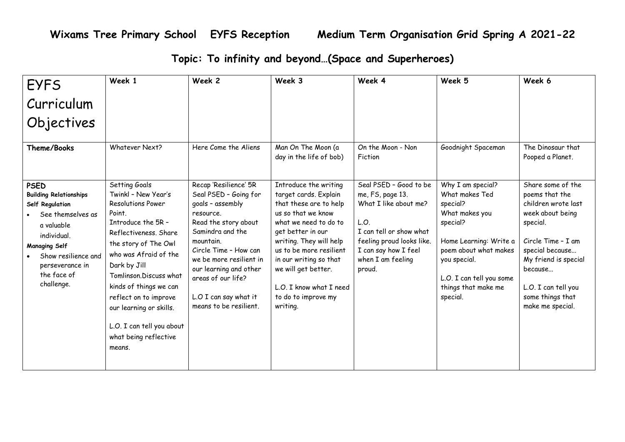**Wixams Tree Primary School EYFS Reception Medium Term Organisation Grid Spring A 2021-22**

**Topic: To infinity and beyond…(Space and Superheroes)**

| <b>EYFS</b>                                                                                                                                                                                                      | Week 1                                                                                                                                                                                                                                                                                                                                                      | Week 2                                                                                                                                                                                                                                                                                          | Week 3                                                                                                                                                                                                                                                                                                            | Week 4                                                                                                                                                                                     | Week 5                                                                                                                                                                                                          | Week 6                                                                                                                                                                                                                                |
|------------------------------------------------------------------------------------------------------------------------------------------------------------------------------------------------------------------|-------------------------------------------------------------------------------------------------------------------------------------------------------------------------------------------------------------------------------------------------------------------------------------------------------------------------------------------------------------|-------------------------------------------------------------------------------------------------------------------------------------------------------------------------------------------------------------------------------------------------------------------------------------------------|-------------------------------------------------------------------------------------------------------------------------------------------------------------------------------------------------------------------------------------------------------------------------------------------------------------------|--------------------------------------------------------------------------------------------------------------------------------------------------------------------------------------------|-----------------------------------------------------------------------------------------------------------------------------------------------------------------------------------------------------------------|---------------------------------------------------------------------------------------------------------------------------------------------------------------------------------------------------------------------------------------|
| Curriculum                                                                                                                                                                                                       |                                                                                                                                                                                                                                                                                                                                                             |                                                                                                                                                                                                                                                                                                 |                                                                                                                                                                                                                                                                                                                   |                                                                                                                                                                                            |                                                                                                                                                                                                                 |                                                                                                                                                                                                                                       |
| Objectives                                                                                                                                                                                                       |                                                                                                                                                                                                                                                                                                                                                             |                                                                                                                                                                                                                                                                                                 |                                                                                                                                                                                                                                                                                                                   |                                                                                                                                                                                            |                                                                                                                                                                                                                 |                                                                                                                                                                                                                                       |
| Theme/Books                                                                                                                                                                                                      | <b>Whatever Next?</b>                                                                                                                                                                                                                                                                                                                                       | Here Come the Aliens                                                                                                                                                                                                                                                                            | Man On The Moon (a<br>day in the life of bob)                                                                                                                                                                                                                                                                     | On the Moon - Non<br>Fiction                                                                                                                                                               | Goodnight Spaceman                                                                                                                                                                                              | The Dinosaur that<br>Pooped a Planet.                                                                                                                                                                                                 |
| <b>PSED</b><br><b>Building Relationships</b><br>Self Regulation<br>See themselves as<br>a valuable<br>individual.<br><b>Managing Self</b><br>Show resilience and<br>perseverance in<br>the face of<br>challenge. | Setting Goals<br>Twinkl - New Year's<br>Resolutions Power<br>Point.<br>Introduce the 5R -<br>Reflectiveness. Share<br>the story of The Owl<br>who was Afraid of the<br>Dark by Jill<br>Tomlinson.Discuss what<br>kinds of things we can<br>reflect on to improve<br>our learning or skills.<br>L.O. I can tell you about<br>what being reflective<br>means. | Recap 'Resilience' 5R<br>Seal PSED - Going for<br>goals - assembly<br>resource.<br>Read the story about<br>Samindra and the<br>mountain.<br>Circle Time - How can<br>we be more resilient in<br>our learning and other<br>areas of our life?<br>L.O I can say what it<br>means to be resilient. | Introduce the writing<br>target cards. Explain<br>that these are to help<br>us so that we know<br>what we need to do to<br>get better in our<br>writing. They will help<br>us to be more resilient<br>in our writing so that<br>we will get better.<br>L.O. I know what I need<br>to do to improve my<br>writing. | Seal PSED - Good to be<br>me, FS, page 13.<br>What I like about me?<br>L.O.<br>I can tell or show what<br>feeling proud looks like.<br>I can say how I feel<br>when I am feeling<br>proud. | Why I am special?<br>What makes Ted<br>special?<br>What makes you<br>special?<br>Home Learning: Write a<br>poem about what makes<br>you special.<br>L.O. I can tell you some<br>things that make me<br>special. | Share some of the<br>poems that the<br>children wrote last<br>week about being<br>special.<br>Circle Time - I am<br>special because<br>My friend is special<br>because<br>L.O. I can tell you<br>some things that<br>make me special. |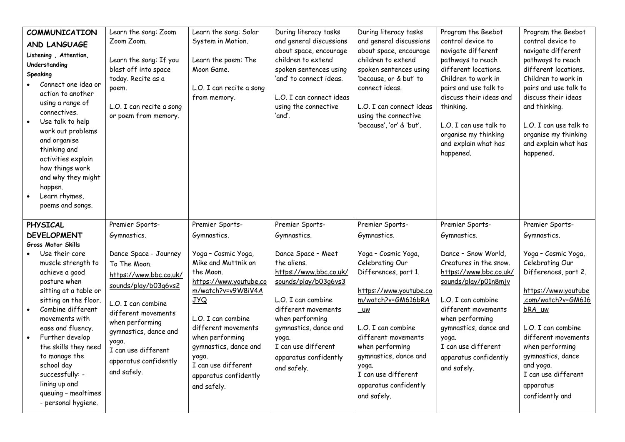| COMMUNICATION<br>AND LANGUAGE<br>Listening, Attention,<br>Understanding<br><b>Speaking</b><br>Connect one idea or<br>action to another<br>using a range of<br>connectives.<br>Use talk to help<br>work out problems<br>and organise<br>thinking and<br>activities explain<br>how things work<br>and why they might<br>happen.<br>Learn rhymes,<br>poems and songs.                                              | Learn the song: Zoom<br>Zoom Zoom.<br>Learn the song: If you<br>blast off into space<br>today. Recite as a<br>poem.<br>L.O. I can recite a song<br>or poem from memory.                                                                                                                    | Learn the song: Solar<br>System in Motion.<br>Learn the poem: The<br>Moon Game.<br>L.O. I can recite a song<br>from memory.                                                                                                                                                                                              | During literacy tasks<br>and general discussions<br>about space, encourage<br>children to extend<br>spoken sentences using<br>'and' to connect ideas.<br>L.O. I can connect ideas<br>using the connective<br>'and'.                                                                    | During literacy tasks<br>and general discussions<br>about space, encourage<br>children to extend<br>spoken sentences using<br>'because, or & but' to<br>connect ideas.<br>L.O. I can connect ideas<br>using the connective<br>'because', 'or' & 'but'.                                                                    | Program the Beebot<br>control device to<br>navigate different<br>pathways to reach<br>different locations.<br>Children to work in<br>pairs and use talk to<br>discuss their ideas and<br>thinking.<br>L.O. I can use talk to<br>organise my thinking<br>and explain what has<br>happened.          | Program the Beebot<br>control device to<br>navigate different<br>pathways to reach<br>different locations.<br>Children to work in<br>pairs and use talk to<br>discuss their ideas<br>and thinking.<br>L.O. I can use talk to<br>organise my thinking<br>and explain what has<br>happened.                        |
|-----------------------------------------------------------------------------------------------------------------------------------------------------------------------------------------------------------------------------------------------------------------------------------------------------------------------------------------------------------------------------------------------------------------|--------------------------------------------------------------------------------------------------------------------------------------------------------------------------------------------------------------------------------------------------------------------------------------------|--------------------------------------------------------------------------------------------------------------------------------------------------------------------------------------------------------------------------------------------------------------------------------------------------------------------------|----------------------------------------------------------------------------------------------------------------------------------------------------------------------------------------------------------------------------------------------------------------------------------------|---------------------------------------------------------------------------------------------------------------------------------------------------------------------------------------------------------------------------------------------------------------------------------------------------------------------------|----------------------------------------------------------------------------------------------------------------------------------------------------------------------------------------------------------------------------------------------------------------------------------------------------|------------------------------------------------------------------------------------------------------------------------------------------------------------------------------------------------------------------------------------------------------------------------------------------------------------------|
| PHYSICAL<br><b>DEVELOPMENT</b><br><b>Gross Motor Skills</b><br>Use their core<br>muscle strength to<br>achieve a good<br>posture when<br>sitting at a table or<br>sitting on the floor.<br>Combine different<br>movements with<br>ease and fluency.<br>Further develop<br>the skills they need<br>to manage the<br>school day<br>successfully: -<br>lining up and<br>queuing - mealtimes<br>- personal hygiene. | Premier Sports-<br>Gymnastics.<br>Dance Space - Journey<br>To The Moon.<br>https://www.bbc.co.uk/<br>sounds/play/b03q6vs2<br>L.O. I can combine<br>different movements<br>when performing<br>gymnastics, dance and<br>yoga.<br>I can use different<br>apparatus confidently<br>and safely. | Premier Sports-<br>Gymnastics.<br>Yoga - Cosmic Yoga,<br>Mike and Muttnik on<br>the Moon.<br>https://www.youtube.co<br>m/watch?v=v9W8iV4A<br><b>JYQ</b><br>L.O. I can combine<br>different movements<br>when performing<br>gymnastics, dance and<br>yoga.<br>I can use different<br>apparatus confidently<br>and safely. | Premier Sports-<br>Gymnastics.<br>Dance Space - Meet<br>the aliens.<br>https://www.bbc.co.uk/<br>sounds/play/b03q6vs3<br>L.O. I can combine<br>different movements<br>when performing<br>gymnastics, dance and<br>yoga.<br>I can use different<br>apparatus confidently<br>and safely. | Premier Sports-<br>Gymnastics.<br>Yoga - Cosmic Yoga,<br>Celebrating Our<br>Differences, part 1.<br>https://www.youtube.co<br>m/watch?v=GM616bRA<br>$uw$<br>L.O. I can combine<br>different movements<br>when performing<br>gymnastics, dance and<br>yoga.<br>I can use different<br>apparatus confidently<br>and safely. | Premier Sports-<br>Gymnastics.<br>Dance - Snow World,<br>Creatures in the snow.<br>https://www.bbc.co.uk/<br>sounds/play/p01n8mjv<br>L.O. I can combine<br>different movements<br>when performing<br>gymnastics, dance and<br>yoga.<br>I can use different<br>apparatus confidently<br>and safely. | Premier Sports-<br>Gymnastics.<br>Yoga - Cosmic Yoga,<br>Celebrating Our<br>Differences, part 2.<br>https://www.youtube<br>.com/watch?v=GM616<br>bRA_uw<br>L.O. I can combine<br>different movements<br>when performing<br>gymnastics, dance<br>and yoga.<br>I can use different<br>apparatus<br>confidently and |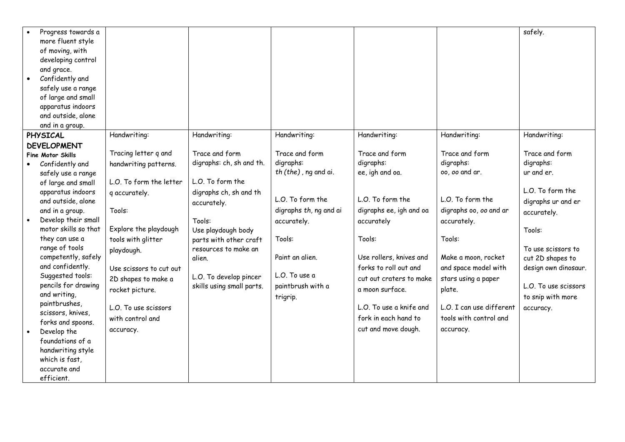| Progress towards a              |                         |                           |                        |                         |                          | safely.              |
|---------------------------------|-------------------------|---------------------------|------------------------|-------------------------|--------------------------|----------------------|
| more fluent style               |                         |                           |                        |                         |                          |                      |
| of moving, with                 |                         |                           |                        |                         |                          |                      |
| developing control              |                         |                           |                        |                         |                          |                      |
| and grace.                      |                         |                           |                        |                         |                          |                      |
| Confidently and                 |                         |                           |                        |                         |                          |                      |
| safely use a range              |                         |                           |                        |                         |                          |                      |
| of large and small              |                         |                           |                        |                         |                          |                      |
| apparatus indoors               |                         |                           |                        |                         |                          |                      |
| and outside, alone              |                         |                           |                        |                         |                          |                      |
| and in a group.                 |                         |                           |                        |                         |                          |                      |
| <b>PHYSICAL</b>                 | Handwriting:            | Handwriting:              | Handwriting:           | Handwriting:            | Handwriting:             | Handwriting:         |
| <b>DEVELOPMENT</b>              |                         |                           |                        |                         |                          |                      |
| <b>Fine Motor Skills</b>        | Tracing letter q and    | Trace and form            | Trace and form         | Trace and form          | Trace and form           | Trace and form       |
| Confidently and                 | handwriting patterns.   | digraphs: ch, sh and th.  | digraphs:              | digraphs:               | digraphs:                | digraphs:            |
| safely use a range              |                         |                           | th (the), ng and ai.   | ee, igh and oa.         | 00, 00 and ar.           | ur and er.           |
| of large and small              | L.O. To form the letter | L.O. To form the          |                        |                         |                          |                      |
| apparatus indoors               | q accurately.           | digraphs ch, sh and th    |                        |                         |                          | L.O. To form the     |
| and outside, alone              |                         | accurately.               | L.O. To form the       | L.O. To form the        | L.O. To form the         | digraphs ur and er   |
| and in a group.                 | Tools:                  |                           | digraphs th, ng and ai | digraphs ee, igh and oa | digraphs oo, oo and ar   | accurately.          |
| Develop their small             |                         | Tools:                    | accurately.            | accurately              | accurately.              |                      |
| motor skills so that            | Explore the playdough   | Use playdough body        |                        |                         |                          | Tools:               |
| they can use a                  | tools with glitter      | parts with other craft    | Tools:                 | Tools:                  | Tools:                   |                      |
| range of tools                  | playdough.              | resources to make an      |                        |                         |                          | To use scissors to   |
| competently, safely             |                         | alien.                    | Paint an alien.        | Use rollers, knives and | Make a moon, rocket      | cut 2D shapes to     |
| and confidently.                | Use scissors to cut out |                           |                        | forks to roll out and   | and space model with     | design own dinosaur. |
| Suggested tools:                | 2D shapes to make a     | L.O. To develop pincer    | L.O. To use a          | cut out craters to make | stars using a paper      |                      |
| pencils for drawing             | rocket picture.         | skills using small parts. | paintbrush with a      | a moon surface.         | plate.                   | L.O. To use scissors |
| and writing,                    |                         |                           | trigrip.               |                         |                          | to snip with more    |
| paintbrushes,                   | L.O. To use scissors    |                           |                        | L.O. To use a knife and | L.O. I can use different | accuracy.            |
| scissors, knives,               | with control and        |                           |                        | fork in each hand to    | tools with control and   |                      |
| forks and spoons.               | accuracy.               |                           |                        | cut and move dough.     | accuracy.                |                      |
| Develop the<br>foundations of a |                         |                           |                        |                         |                          |                      |
| handwriting style               |                         |                           |                        |                         |                          |                      |
| which is fast,                  |                         |                           |                        |                         |                          |                      |
|                                 |                         |                           |                        |                         |                          |                      |
|                                 |                         |                           |                        |                         |                          |                      |
| accurate and<br>efficient.      |                         |                           |                        |                         |                          |                      |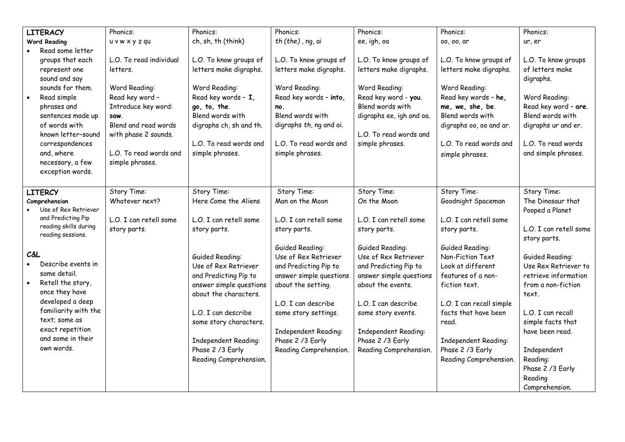| <b>LITERACY</b>                   |                                | Phonics:                | Phonics:                | Phonics:                | Phonics:                 | Phonics:                 | Phonics:               |
|-----------------------------------|--------------------------------|-------------------------|-------------------------|-------------------------|--------------------------|--------------------------|------------------------|
|                                   | <b>Word Reading</b>            | u v w x y z qu          | ch, sh, th (think)      | th (the), ng, ai        | ee, igh, oa              | 00, 00, ar               | ur, er                 |
|                                   | Read some letter               |                         |                         |                         |                          |                          |                        |
|                                   | groups that each               | L.O. To read individual | L.O. To know groups of  | L.O. To know groups of  | L.O. To know groups of   | L.O. To know groups of   | L.O. To know groups    |
|                                   | represent one                  | letters.                | letters make digraphs.  | letters make digraphs.  | letters make digraphs.   | letters make digraphs.   | of letters make        |
|                                   | sound and say                  |                         |                         |                         |                          |                          | digraphs.              |
| sounds for them.                  |                                | Word Reading:           | Word Reading:           | Word Reading:           | Word Reading:            | Word Reading:            |                        |
|                                   | Read key word -<br>Read simple |                         | Read key words - I,     | Read key words - into,  | Read key word - you.     | Read key words - he,     | Word Reading:          |
| phrases and                       |                                | Introduce key word:     | go, to, the.            | no.                     | Blend words with         | me, we, she, be.         | Read key word - are.   |
|                                   | sentences made up              | saw.                    | Blend words with        | Blend words with        | digraphs ee, igh and oa. | Blend words with         | Blend words with       |
|                                   | of words with                  | Blend and read words    | digraphs ch, sh and th. | digraphs th, ng and ai. |                          | digraphs oo, oo and ar.  | digraphs ur and er.    |
|                                   | known letter-sound             | with phase 2 sounds.    |                         |                         | L.O. To read words and   |                          |                        |
|                                   | correspondences                |                         | L.O. To read words and  | L.O. To read words and  | simple phrases.          | L.O. To read words and   | L.O. To read words     |
|                                   | and, where                     | L.O. To read words and  | simple phrases.         | simple phrases.         |                          |                          | and simple phrases.    |
|                                   | necessary, a few               | simple phrases.         |                         |                         |                          | simple phrases.          |                        |
|                                   | exception words.               |                         |                         |                         |                          |                          |                        |
|                                   |                                |                         |                         |                         |                          |                          |                        |
|                                   | <b>LITERCY</b>                 | Story Time:             | Story Time:             | Story Time:             | Story Time:              | Story Time:              | Story Time:            |
|                                   | Comprehension                  | Whatever next?          | Here Come the Aliens    | Man on the Moon         | On the Moon              | Goodnight Spaceman       | The Dinosaur that      |
|                                   | Use of Rex Retriever           |                         |                         |                         |                          |                          | Pooped a Planet        |
|                                   | and Predicting Pip             | L.O. I can retell some  | L.O. I can retell some  | L.O. I can retell some  | L.O. I can retell some   | L.O. I can retell some   |                        |
|                                   | reading skills during          | story parts.            | story parts.            | story parts.            | story parts.             | story parts.             | L.O. I can retell some |
| reading sessions.                 |                                |                         |                         |                         |                          |                          | story parts.           |
|                                   |                                |                         |                         | Guided Reading:         | Guided Reading:          | Guided Reading:          |                        |
| C&L                               |                                |                         | Guided Reading:         | Use of Rex Retriever    | Use of Rex Retriever     | Non-Fiction Text         | Guided Reading:        |
|                                   | Describe events in             |                         | Use of Rex Retriever    | and Predicting Pip to   | and Predicting Pip to    | Look at different        | Use Rex Retriever to   |
|                                   | some detail.                   |                         | and Predicting Pip to   | answer simple questions | answer simple questions  | features of a non-       | retrieve information   |
|                                   | Retell the story,              |                         | answer simple questions | about the setting.      | about the events.        | fiction text.            | from a non-fiction     |
|                                   | once they have                 |                         | about the characters.   |                         |                          |                          | text.                  |
|                                   | developed a deep               |                         |                         | L.O. I can describe     | L.O. I can describe      | L.O. I can recall simple |                        |
| familiarity with the              |                                |                         | L.O. I can describe     | some story settings.    | some story events.       | facts that have been     | L.O. I can recall      |
| text: some as<br>exact repetition |                                |                         | some story characters.  |                         |                          | read.                    | simple facts that      |
|                                   |                                |                         |                         | Independent Reading:    | Independent Reading:     |                          | have been read.        |
| and some in their                 |                                |                         | Independent Reading:    | Phase 2 /3 Early        | Phase 2 / 3 Early        | Independent Reading:     |                        |
| own words.                        |                                |                         | Phase 2 /3 Early        | Reading Comprehension.  | Reading Comprehension.   | Phase 2 /3 Early         | Independent            |
|                                   |                                |                         | Reading Comprehension.  |                         |                          | Reading Comprehension.   | Reading:               |
|                                   |                                |                         |                         |                         |                          |                          | Phase 2 / 3 Early      |
|                                   |                                |                         |                         |                         |                          |                          | Reading                |
|                                   |                                |                         |                         |                         |                          |                          |                        |
|                                   |                                |                         |                         |                         |                          |                          | Comprehension.         |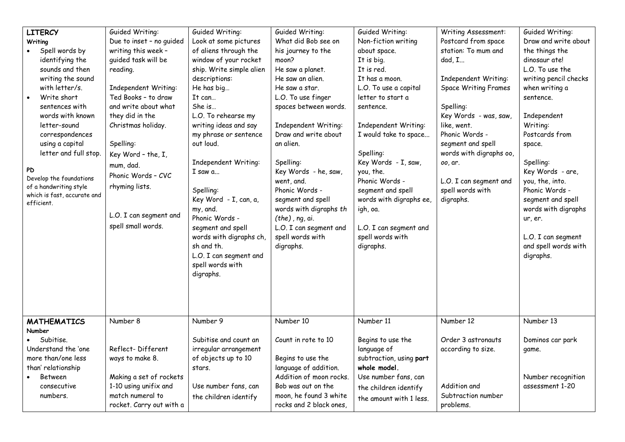| <b>LITERCY</b>                           | Guided Writing:          | Guided Writing:          | Guided Writing:         | Guided Writing:         | Writing Assessment:         | Guided Writing:       |
|------------------------------------------|--------------------------|--------------------------|-------------------------|-------------------------|-----------------------------|-----------------------|
| Writing                                  | Due to inset - no guided | Look at some pictures    | What did Bob see on     | Non-fiction writing     | Postcard from space         | Draw and write about  |
| Spell words by                           | writing this week -      | of aliens through the    | his journey to the      | about space.            | station: To mum and         | the things the        |
| identifying the                          | guided task will be      | window of your rocket    | moon?                   | It is big.              | dad, I                      | dinosaur ate!         |
| sounds and then                          | reading.                 | ship. Write simple alien | He saw a planet.        | It is red.              |                             | L.O. To use the       |
| writing the sound                        |                          | descriptions:            | He saw an alien.        | It has a moon.          | Independent Writing:        | writing pencil checks |
| with letter/s.                           | Independent Writing:     | He has big               | He saw a star.          | L.O. To use a capital   | <b>Space Writing Frames</b> | when writing a        |
| Write short                              | Ted Books - to draw      |                          |                         |                         |                             |                       |
|                                          |                          | It can                   | L.O. To use finger      | letter to start a       |                             | sentence.             |
| sentences with                           | and write about what     | She is                   | spaces between words.   | sentence.               | Spelling:                   |                       |
| words with known                         | they did in the          | L.O. To rehearse my      |                         |                         | Key Words - was, saw,       | Independent           |
| letter-sound                             | Christmas holiday.       | writing ideas and say    | Independent Writing:    | Independent Writing:    | like, went.                 | Writing:              |
| correspondences                          |                          | my phrase or sentence    | Draw and write about    | I would take to space   | Phonic Words -              | Postcards from        |
| using a capital                          | Spelling:                | out loud.                | an alien.               |                         | segment and spell           | space.                |
| letter and full stop.                    | Key Word - the, I,       |                          |                         | Spelling:               | words with digraphs oo,     |                       |
|                                          | mum, dad.                | Independent Writing:     | Spelling:               | Key Words - I, saw,     | 00, ar.                     | Spelling:             |
| PD<br>Develop the foundations            | Phonic Words - CVC       | $I$ saw $a_{}$           | Key Words - he, saw,    | you, the.               |                             | Key Words - are,      |
| of a handwriting style                   | rhyming lists.           |                          | went, and.              | Phonic Words -          | L.O. I can segment and      | you, the, into.       |
| which is fast, accurate and              |                          | Spelling:                | Phonic Words -          | segment and spell       | spell words with            | Phonic Words -        |
| efficient.                               |                          | Key Word - I, can, a,    | segment and spell       | words with digraphs ee, | digraphs.                   | segment and spell     |
|                                          |                          | my, and.                 | words with digraphs th  | igh, oa.                |                             | words with digraphs   |
|                                          | L.O. I can segment and   | Phonic Words -           | $(the)$ , ng, ai.       |                         |                             | ur, er.               |
|                                          | spell small words.       | segment and spell        | L.O. I can segment and  | L.O. I can segment and  |                             |                       |
|                                          |                          | words with digraphs ch,  | spell words with        | spell words with        |                             | L.O. I can segment    |
|                                          |                          | sh and th.               | digraphs.               | digraphs.               |                             | and spell words with  |
|                                          |                          | L.O. I can segment and   |                         |                         |                             | digraphs.             |
|                                          |                          | spell words with         |                         |                         |                             |                       |
|                                          |                          | digraphs.                |                         |                         |                             |                       |
|                                          |                          |                          |                         |                         |                             |                       |
|                                          |                          |                          |                         |                         |                             |                       |
|                                          |                          |                          |                         |                         |                             |                       |
|                                          |                          |                          |                         |                         |                             |                       |
| <b>MATHEMATICS</b>                       | Number 8                 | Number 9                 | Number 10               | Number 11               | Number 12                   | Number 13             |
| <b>Number</b>                            |                          |                          |                         |                         |                             |                       |
| Subitise.                                |                          | Subitise and count an    | Count in rote to 10     | Begins to use the       | Order 3 astronauts          | Dominos car park      |
| Understand the 'one<br>Reflect-Different |                          | irregular arrangement    |                         | language of             | according to size.          | game.                 |
| more than/one less<br>ways to make 8.    |                          | of objects up to 10      | Begins to use the       | subtraction, using part |                             |                       |
| than' relationship                       |                          | stars.                   | language of addition.   | whole model.            |                             |                       |
| Between                                  | Making a set of rockets  |                          | Addition of moon rocks. | Use number fans, can    |                             | Number recognition    |
| consecutive                              | 1-10 using unifix and    | Use number fans, can     | Bob was out on the      | the children identify   | Addition and                | assessment 1-20       |
| numbers.                                 | match numeral to         | the children identify    | moon, he found 3 white  |                         | Subtraction number          |                       |
|                                          | rocket. Carry out with a |                          | rocks and 2 black ones, | the amount with 1 less. | problems.                   |                       |
|                                          |                          |                          |                         |                         |                             |                       |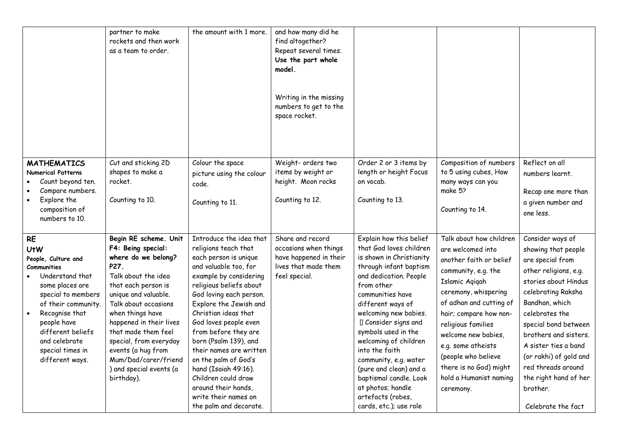|                                                                                                                                                                                                                                                                       | partner to make<br>rockets and then work<br>as a team to order.                                                                                                                                                                                                                                                                                                 | the amount with 1 more.                                                                                                                                                                                                                                                                                                                                                                                                                                                                  | and how many did he<br>find altogether?<br>Repeat several times.<br>Use the part whole<br>model.<br>Writing in the missing<br>numbers to get to the<br>space rocket. |                                                                                                                                                                                                                                                                                                                                                                                                                                                               |                                                                                                                                                                                                                                                                                                                                                          |                                                                                                                                                                                                                                                                                                                                                            |
|-----------------------------------------------------------------------------------------------------------------------------------------------------------------------------------------------------------------------------------------------------------------------|-----------------------------------------------------------------------------------------------------------------------------------------------------------------------------------------------------------------------------------------------------------------------------------------------------------------------------------------------------------------|------------------------------------------------------------------------------------------------------------------------------------------------------------------------------------------------------------------------------------------------------------------------------------------------------------------------------------------------------------------------------------------------------------------------------------------------------------------------------------------|----------------------------------------------------------------------------------------------------------------------------------------------------------------------|---------------------------------------------------------------------------------------------------------------------------------------------------------------------------------------------------------------------------------------------------------------------------------------------------------------------------------------------------------------------------------------------------------------------------------------------------------------|----------------------------------------------------------------------------------------------------------------------------------------------------------------------------------------------------------------------------------------------------------------------------------------------------------------------------------------------------------|------------------------------------------------------------------------------------------------------------------------------------------------------------------------------------------------------------------------------------------------------------------------------------------------------------------------------------------------------------|
| <b>MATHEMATICS</b><br><b>Numerical Patterns</b><br>Count beyond ten.<br>Compare numbers.<br>Explore the<br>composition of<br>numbers to 10.                                                                                                                           | Cut and sticking 2D<br>shapes to make a<br>rocket.<br>Counting to 10.                                                                                                                                                                                                                                                                                           | Colour the space<br>picture using the colour<br>code.<br>Counting to 11.                                                                                                                                                                                                                                                                                                                                                                                                                 | Weight- orders two<br>items by weight or<br>height. Moon rocks<br>Counting to 12.                                                                                    | Order 2 or 3 items by<br>length or height Focus<br>on vocab.<br>Counting to 13.                                                                                                                                                                                                                                                                                                                                                                               | Composition of numbers<br>to 5 using cubes, How<br>many ways can you<br>make 5?<br>Counting to 14.                                                                                                                                                                                                                                                       | Reflect on all<br>numbers learnt.<br>Recap one more than<br>a given number and<br>one less.                                                                                                                                                                                                                                                                |
| <b>RE</b><br><b>UtW</b><br>People, Culture and<br><b>Communities</b><br>Understand that<br>some places are<br>special to members<br>of their community.<br>Recognise that<br>people have<br>different beliefs<br>and celebrate<br>special times in<br>different ways. | Begin RE scheme. Unit<br>F4: Being special:<br>where do we belong?<br>P27.<br>Talk about the idea<br>that each person is<br>unique and valuable.<br>Talk about occasions<br>when things have<br>happened in their lives<br>that made them feel<br>special, from everyday<br>events (a hug from<br>Mum/Dad/carer/friend<br>) and special events (a<br>birthday). | Introduce the idea that<br>religions teach that<br>each person is unique<br>and valuable too, for<br>example by considering<br>religious beliefs about<br>God loving each person.<br>Explore the Jewish and<br>Christian ideas that<br>God loves people even<br>from before they are<br>born (Psalm 139), and<br>their names are written<br>on the palm of God's<br>hand (Isaiah 49:16).<br>Children could draw<br>around their hands,<br>write their names on<br>the palm and decorate. | Share and record<br>occasions when things<br>have happened in their<br>lives that made them<br>feel special.                                                         | Explain how this belief<br>that God loves children<br>is shown in Christianity<br>through infant baptism<br>and dedication. People<br>from other<br>communities have<br>different ways of<br>welcoming new babies.<br>I Consider signs and<br>symbols used in the<br>welcoming of children<br>into the faith<br>community, e.g. water<br>(pure and clean) and a<br>baptismal candle. Look<br>at photos; handle<br>artefacts (robes,<br>cards, etc.); use role | Talk about how children<br>are welcomed into<br>another faith or belief<br>community, e.g. the<br>Islamic Agigah<br>ceremony, whispering<br>of adhan and cutting of<br>hair; compare how non-<br>religious families<br>welcome new babies,<br>e.g. some atheists<br>(people who believe<br>there is no God) might<br>hold a Humanist naming<br>ceremony. | Consider ways of<br>showing that people<br>are special from<br>other religions, e.g.<br>stories about Hindus<br>celebrating Raksha<br>Bandhan, which<br>celebrates the<br>special bond between<br>brothers and sisters.<br>A sister ties a band<br>(or rakhi) of gold and<br>red threads around<br>the right hand of her<br>brother.<br>Celebrate the fact |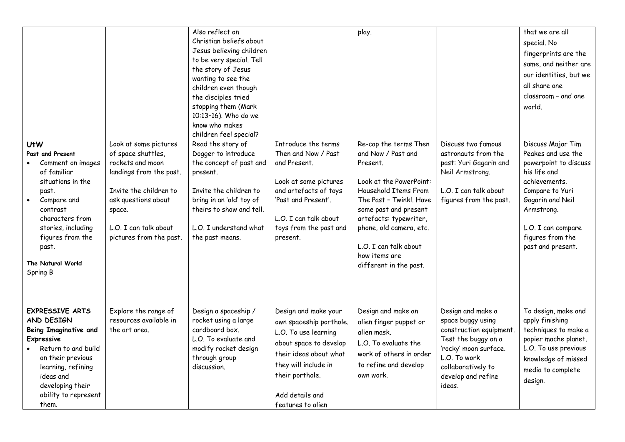|                                                                                                                                                                                                                                          |                                                                                                                                                                                                           | Also reflect on<br>Christian beliefs about<br>Jesus believing children<br>to be very special. Tell<br>the story of Jesus<br>wanting to see the<br>children even though<br>the disciples tried<br>stopping them (Mark<br>10:13-16). Who do we<br>know who makes<br>children feel special? |                                                                                                                                                                                                                | play.                                                                                                                                                                                                                                                                                   |                                                                                                                                                                                         | that we are all<br>special. No<br>fingerprints are the<br>same, and neither are<br>our identities, but we<br>all share one<br>classroom - and one<br>world.                                                           |
|------------------------------------------------------------------------------------------------------------------------------------------------------------------------------------------------------------------------------------------|-----------------------------------------------------------------------------------------------------------------------------------------------------------------------------------------------------------|------------------------------------------------------------------------------------------------------------------------------------------------------------------------------------------------------------------------------------------------------------------------------------------|----------------------------------------------------------------------------------------------------------------------------------------------------------------------------------------------------------------|-----------------------------------------------------------------------------------------------------------------------------------------------------------------------------------------------------------------------------------------------------------------------------------------|-----------------------------------------------------------------------------------------------------------------------------------------------------------------------------------------|-----------------------------------------------------------------------------------------------------------------------------------------------------------------------------------------------------------------------|
| U <sub>t</sub> W<br>Past and Present<br>Comment on images<br>of familiar<br>situations in the<br>past.<br>Compare and<br>contrast<br>characters from<br>stories, including<br>figures from the<br>past.<br>The Natural World<br>Spring B | Look at some pictures<br>of space shuttles,<br>rockets and moon<br>landings from the past.<br>Invite the children to<br>ask questions about<br>space.<br>L.O. I can talk about<br>pictures from the past. | Read the story of<br>Dogger to introduce<br>the concept of past and<br>present.<br>Invite the children to<br>bring in an 'old' toy of<br>theirs to show and tell.<br>L.O. I understand what<br>the past means.                                                                           | Introduce the terms<br>Then and Now / Past<br>and Present.<br>Look at some pictures<br>and artefacts of toys<br>'Past and Present'.<br>L.O. I can talk about<br>toys from the past and<br>present.             | Re-cap the terms Then<br>and Now / Past and<br>Present.<br>Look at the PowerPoint:<br>Household Items From<br>The Past - Twinkl. Have<br>some past and present<br>artefacts: typewriter,<br>phone, old camera, etc.<br>L.O. I can talk about<br>how items are<br>different in the past. | Discuss two famous<br>astronauts from the<br>past: Yuri Gagarin and<br>Neil Armstrong.<br>L.O. I can talk about<br>figures from the past.                                               | Discuss Major Tim<br>Peakes and use the<br>powerpoint to discuss<br>his life and<br>achievements.<br>Compare to Yuri<br>Gagarin and Neil<br>Armstrong.<br>L.O. I can compare<br>figures from the<br>past and present. |
| <b>EXPRESSIVE ARTS</b><br>AND DESIGN<br><b>Being Imaginative and</b><br><b>Expressive</b><br>Return to and build<br>on their previous<br>learning, refining<br>ideas and<br>developing their<br>ability to represent<br>them.            | Explore the range of<br>resources available in<br>the art area.                                                                                                                                           | Design a spaceship /<br>rocket using a large<br>cardboard box.<br>L.O. To evaluate and<br>modify rocket design<br>through group<br>discussion.                                                                                                                                           | Design and make your<br>own spaceship porthole.<br>L.O. To use learning<br>about space to develop<br>their ideas about what<br>they will include in<br>their porthole.<br>Add details and<br>features to alien | Design and make an<br>alien finger puppet or<br>alien mask.<br>L.O. To evaluate the<br>work of others in order<br>to refine and develop<br>own work.                                                                                                                                    | Design and make a<br>space buggy using<br>construction equipment.<br>Test the buggy on a<br>'rocky' moon surface.<br>L.O. To work<br>collaboratively to<br>develop and refine<br>ideas. | To design, make and<br>apply finishing<br>techniques to make a<br>papier mache planet.<br>L.O. To use previous<br>knowledge of missed<br>media to complete<br>design.                                                 |